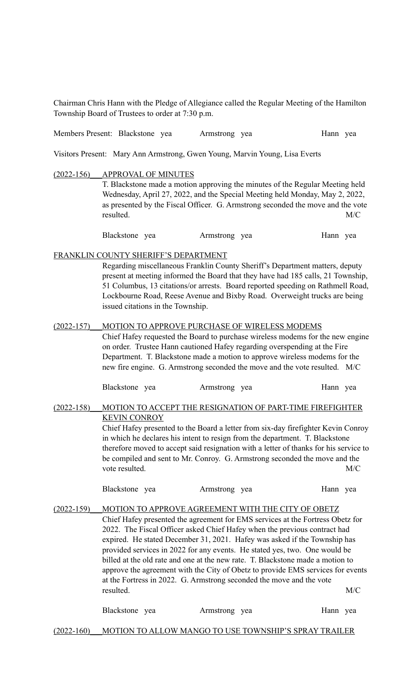Chairman Chris Hann with the Pledge of Allegiance called the Regular Meeting of the Hamilton Township Board of Trustees to order at 7:30 p.m.

Members Present: Blackstone yea Armstrong yea Hann yea

Visitors Present: Mary Ann Armstrong, Gwen Young, Marvin Young, Lisa Everts

(2022-156)\_\_\_APPROVAL OF MINUTES

T. Blackstone made a motion approving the minutes of the Regular Meeting held Wednesday, April 27, 2022, and the Special Meeting held Monday, May 2, 2022, as presented by the Fiscal Officer. G. Armstrong seconded the move and the vote resulted. M/C

Blackstone yea Armstrong yea Hann yea

FRANKLIN COUNTY SHERIFF'S DEPARTMENT

Regarding miscellaneous Franklin County Sheriff's Department matters, deputy present at meeting informed the Board that they have had 185 calls, 21 Township, 51 Columbus, 13 citations/or arrests. Board reported speeding on Rathmell Road, Lockbourne Road, Reese Avenue and Bixby Road. Overweight trucks are being issued citations in the Township.

(2022-157) MOTION TO APPROVE PURCHASE OF WIRELESS MODEMS Chief Hafey requested the Board to purchase wireless modems for the new engine on order. Trustee Hann cautioned Hafey regarding overspending at the Fire Department. T. Blackstone made a motion to approve wireless modems for the new fire engine. G. Armstrong seconded the move and the vote resulted. M/C

Blackstone yea Armstrong yea Hann yea

## (2022-158) MOTION TO ACCEPT THE RESIGNATION OF PART-TIME FIREFIGHTER KEVIN CONROY

Chief Hafey presented to the Board a letter from six-day firefighter Kevin Conroy in which he declares his intent to resign from the department. T. Blackstone therefore moved to accept said resignation with a letter of thanks for his service to be compiled and sent to Mr. Conroy. G. Armstrong seconded the move and the vote resulted. M/C

| Blackstone yea |  | Armstrong yea |  | Hann yea |  |
|----------------|--|---------------|--|----------|--|
|----------------|--|---------------|--|----------|--|

(2022-159) MOTION TO APPROVE AGREEMENT WITH THE CITY OF OBETZ Chief Hafey presented the agreement for EMS services at the Fortress Obetz for 2022. The Fiscal Officer asked Chief Hafey when the previous contract had expired. He stated December 31, 2021. Hafey was asked if the Township has provided services in 2022 for any events. He stated yes, two. One would be billed at the old rate and one at the new rate. T. Blackstone made a motion to approve the agreement with the City of Obetz to provide EMS services for events at the Fortress in 2022. G. Armstrong seconded the move and the vote resulted. M/C

| Blackstone yea | Armstrong yea | Hann yea |  |
|----------------|---------------|----------|--|
|                |               |          |  |

(2022-160)\_\_\_MOTION TO ALLOW MANGO TO USE TOWNSHIP'S SPRAY TRAILER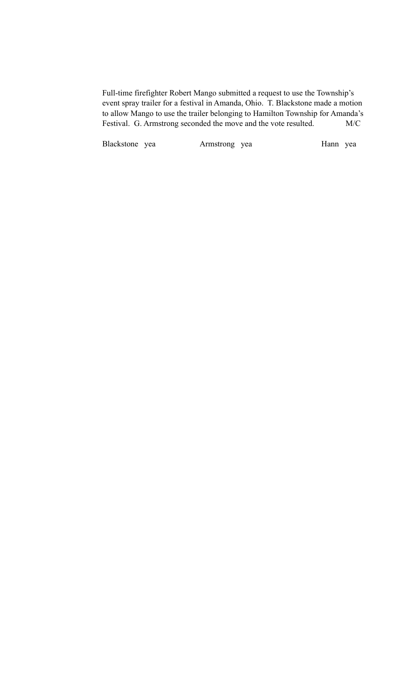Full-time firefighter Robert Mango submitted a request to use the Township's event spray trailer for a festival in Amanda, Ohio. T. Blackstone made a motion to allow Mango to use the trailer belonging to Hamilton Township for Amanda's Festival. G. Armstrong seconded the move and the vote resulted. M/C

Blackstone yea Armstrong yea Hann yea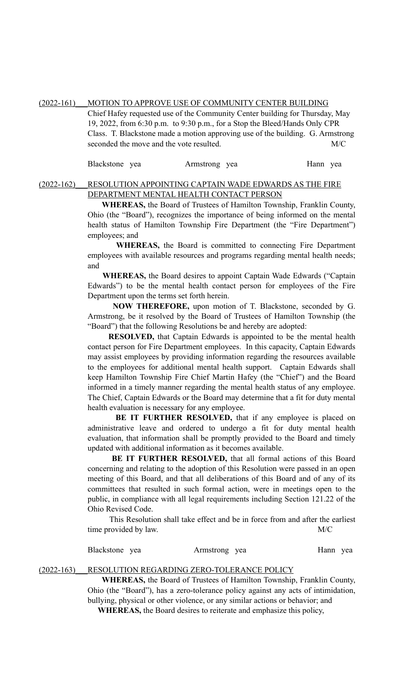(2022-161) MOTION TO APPROVE USE OF COMMUNITY CENTER BUILDING Chief Hafey requested use of the Community Center building for Thursday, May 19, 2022, from 6:30 p.m. to 9:30 p.m., for a Stop the Bleed/Hands Only CPR Class. T. Blackstone made a motion approving use of the building. G. Armstrong seconded the move and the vote resulted. M/C

| Blackstone yea |  | Armstrong yea |  | Hann yea |  |
|----------------|--|---------------|--|----------|--|
|----------------|--|---------------|--|----------|--|

## (2022-162)\_\_\_RESOLUTION APPOINTING CAPTAIN WADE EDWARDS AS THE FIRE DEPARTMENT MENTAL HEALTH CONTACT PERSON

 **WHEREAS,** the Board of Trustees of Hamilton Township, Franklin County, Ohio (the "Board"), recognizes the importance of being informed on the mental health status of Hamilton Township Fire Department (the "Fire Department") employees; and

 **WHEREAS,** the Board is committed to connecting Fire Department employees with available resources and programs regarding mental health needs; and

 **WHEREAS,** the Board desires to appoint Captain Wade Edwards ("Captain Edwards") to be the mental health contact person for employees of the Fire Department upon the terms set forth herein.

 **NOW THEREFORE,** upon motion of T. Blackstone, seconded by G. Armstrong, be it resolved by the Board of Trustees of Hamilton Township (the "Board") that the following Resolutions be and hereby are adopted:

 **RESOLVED,** that Captain Edwards is appointed to be the mental health contact person for Fire Department employees. In this capacity, Captain Edwards may assist employees by providing information regarding the resources available to the employees for additional mental health support. Captain Edwards shall keep Hamilton Township Fire Chief Martin Hafey (the "Chief") and the Board informed in a timely manner regarding the mental health status of any employee. The Chief, Captain Edwards or the Board may determine that a fit for duty mental health evaluation is necessary for any employee.

**BE IT FURTHER RESOLVED, that if any employee is placed on** administrative leave and ordered to undergo a fit for duty mental health evaluation, that information shall be promptly provided to the Board and timely updated with additional information as it becomes available.

 **BE IT FURTHER RESOLVED,** that all formal actions of this Board concerning and relating to the adoption of this Resolution were passed in an open meeting of this Board, and that all deliberations of this Board and of any of its committees that resulted in such formal action, were in meetings open to the public, in compliance with all legal requirements including Section 121.22 of the Ohio Revised Code.

 This Resolution shall take effect and be in force from and after the earliest time provided by law. M/C

| Blackstone yea | Armstrong yea | Hann yea |
|----------------|---------------|----------|
|----------------|---------------|----------|

#### (2022-163) RESOLUTION REGARDING ZERO-TOLERANCE POLICY

 **WHEREAS,** the Board of Trustees of Hamilton Township, Franklin County, Ohio (the "Board"), has a zero-tolerance policy against any acts of intimidation, bullying, physical or other violence, or any similar actions or behavior; and **WHEREAS,** the Board desires to reiterate and emphasize this policy,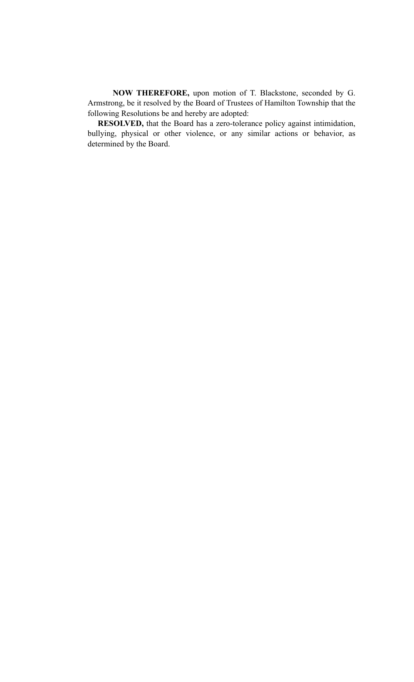**NOW THEREFORE,** upon motion of T. Blackstone, seconded by G. Armstrong, be it resolved by the Board of Trustees of Hamilton Township that the following Resolutions be and hereby are adopted:

**RESOLVED,** that the Board has a zero-tolerance policy against intimidation, bullying, physical or other violence, or any similar actions or behavior, as determined by the Board.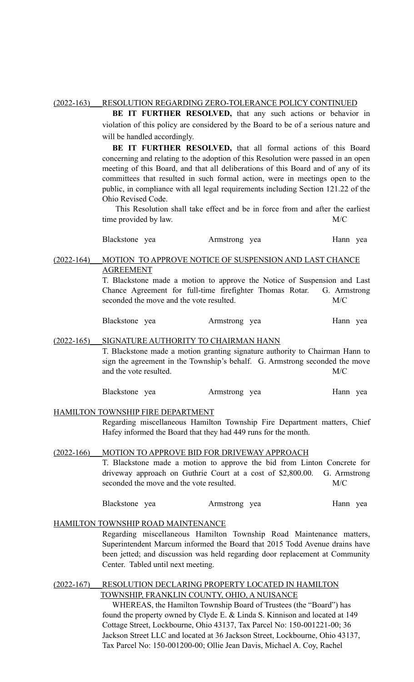## (2022-163)\_\_\_RESOLUTION REGARDING ZERO-TOLERANCE POLICY CONTINUED

**BE IT FURTHER RESOLVED,** that any such actions or behavior in violation of this policy are considered by the Board to be of a serious nature and will be handled accordingly.

**BE IT FURTHER RESOLVED,** that all formal actions of this Board concerning and relating to the adoption of this Resolution were passed in an open meeting of this Board, and that all deliberations of this Board and of any of its committees that resulted in such formal action, were in meetings open to the public, in compliance with all legal requirements including Section 121.22 of the Ohio Revised Code.

This Resolution shall take effect and be in force from and after the earliest time provided by law. M/C

Blackstone yea Armstrong yea Hann yea

## (2022-164)\_\_\_MOTION TO APPROVE NOTICE OF SUSPENSION AND LAST CHANCE AGREEMENT

T. Blackstone made a motion to approve the Notice of Suspension and Last Chance Agreement for full-time firefighter Thomas Rotar. G. Armstrong seconded the move and the vote resulted. M/C

Blackstone yea Armstrong yea Hann yea

#### (2022-165)\_\_\_SIGNATURE AUTHORITY TO CHAIRMAN HANN

T. Blackstone made a motion granting signature authority to Chairman Hann to sign the agreement in the Township's behalf. G. Armstrong seconded the move and the vote resulted. M/C

Blackstone yea Armstrong yea Hann yea

#### HAMILTON TOWNSHIP FIRE DEPARTMENT

Regarding miscellaneous Hamilton Township Fire Department matters, Chief Hafey informed the Board that they had 449 runs for the month.

## (2022-166)\_\_\_MOTION TO APPROVE BID FOR DRIVEWAY APPROACH

T. Blackstone made a motion to approve the bid from Linton Concrete for driveway approach on Guthrie Court at a cost of \$2,800.00. G. Armstrong seconded the move and the vote resulted. M/C

| Blackstone yea |  | Armstrong yea |  | Hann yea |  |
|----------------|--|---------------|--|----------|--|
|----------------|--|---------------|--|----------|--|

### HAMILTON TOWNSHIP ROAD MAINTENANCE

Regarding miscellaneous Hamilton Township Road Maintenance matters, Superintendent Marcum informed the Board that 2015 Todd Avenue drains have been jetted; and discussion was held regarding door replacement at Community Center. Tabled until next meeting.

## (2022-167)\_\_\_RESOLUTION DECLARING PROPERTY LOCATED IN HAMILTON TOWNSHIP, FRANKLIN COUNTY, OHIO, A NUISANCE

 WHEREAS, the Hamilton Township Board of Trustees (the "Board") has found the property owned by Clyde E. & Linda S. Kinnison and located at 149 Cottage Street, Lockbourne, Ohio 43137, Tax Parcel No: 150-001221-00; 36 Jackson Street LLC and located at 36 Jackson Street, Lockbourne, Ohio 43137, Tax Parcel No: 150-001200-00; Ollie Jean Davis, Michael A. Coy, Rachel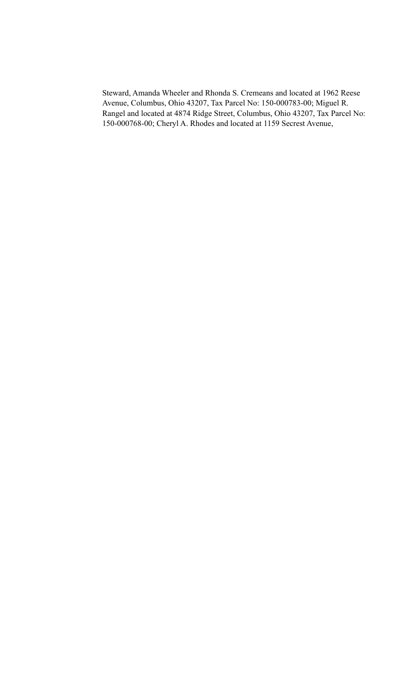Steward, Amanda Wheeler and Rhonda S. Cremeans and located at 1962 Reese Avenue, Columbus, Ohio 43207, Tax Parcel No: 150-000783-00; Miguel R. Rangel and located at 4874 Ridge Street, Columbus, Ohio 43207, Tax Parcel No: 150-000768-00; Cheryl A. Rhodes and located at 1159 Secrest Avenue,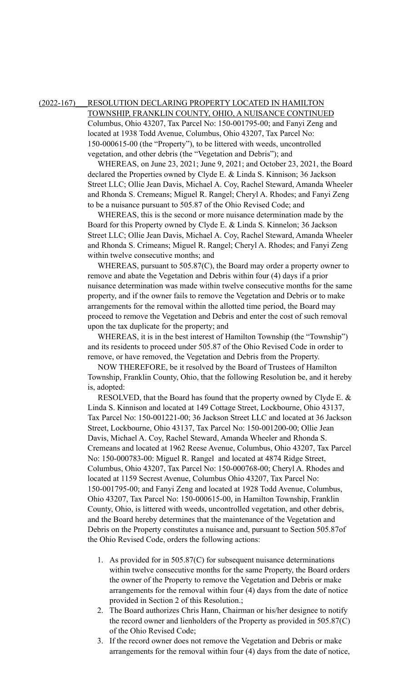#### (2022-167) RESOLUTION DECLARING PROPERTY LOCATED IN HAMILTON

TOWNSHIP, FRANKLIN COUNTY, OHIO, A NUISANCE CONTINUED Columbus, Ohio 43207, Tax Parcel No: 150-001795-00; and Fanyi Zeng and located at 1938 Todd Avenue, Columbus, Ohio 43207, Tax Parcel No: 150-000615-00 (the "Property"), to be littered with weeds, uncontrolled vegetation, and other debris (the "Vegetation and Debris"); and

 WHEREAS, on June 23, 2021; June 9, 2021; and October 23, 2021, the Board declared the Properties owned by Clyde E. & Linda S. Kinnison; 36 Jackson Street LLC; Ollie Jean Davis, Michael A. Coy, Rachel Steward, Amanda Wheeler and Rhonda S. Cremeans; Miguel R. Rangel; Cheryl A. Rhodes; and Fanyi Zeng to be a nuisance pursuant to 505.87 of the Ohio Revised Code; and

 WHEREAS, this is the second or more nuisance determination made by the Board for this Property owned by Clyde E. & Linda S. Kinnelon; 36 Jackson Street LLC; Ollie Jean Davis, Michael A. Coy, Rachel Steward, Amanda Wheeler and Rhonda S. Crimeans; Miguel R. Rangel; Cheryl A. Rhodes; and Fanyi Zeng within twelve consecutive months; and

 WHEREAS, pursuant to 505.87(C), the Board may order a property owner to remove and abate the Vegetation and Debris within four (4) days if a prior nuisance determination was made within twelve consecutive months for the same property, and if the owner fails to remove the Vegetation and Debris or to make arrangements for the removal within the allotted time period, the Board may proceed to remove the Vegetation and Debris and enter the cost of such removal upon the tax duplicate for the property; and

 WHEREAS, it is in the best interest of Hamilton Township (the "Township") and its residents to proceed under 505.87 of the Ohio Revised Code in order to remove, or have removed, the Vegetation and Debris from the Property.

 NOW THEREFORE, be it resolved by the Board of Trustees of Hamilton Township, Franklin County, Ohio, that the following Resolution be, and it hereby is, adopted:

RESOLVED, that the Board has found that the property owned by Clyde E.  $\&$ Linda S. Kinnison and located at 149 Cottage Street, Lockbourne, Ohio 43137, Tax Parcel No: 150-001221-00; 36 Jackson Street LLC and located at 36 Jackson Street, Lockbourne, Ohio 43137, Tax Parcel No: 150-001200-00; Ollie Jean Davis, Michael A. Coy, Rachel Steward, Amanda Wheeler and Rhonda S. Cremeans and located at 1962 Reese Avenue, Columbus, Ohio 43207, Tax Parcel No: 150-000783-00: Miguel R. Rangel and located at 4874 Ridge Street, Columbus, Ohio 43207, Tax Parcel No: 150-000768-00; Cheryl A. Rhodes and located at 1159 Secrest Avenue, Columbus Ohio 43207, Tax Parcel No: 150-001795-00; and Fanyi Zeng and located at 1928 Todd Avenue, Columbus, Ohio 43207, Tax Parcel No: 150-000615-00, in Hamilton Township, Franklin County, Ohio, is littered with weeds, uncontrolled vegetation, and other debris, and the Board hereby determines that the maintenance of the Vegetation and Debris on the Property constitutes a nuisance and, pursuant to Section 505.87of the Ohio Revised Code, orders the following actions:

- 1. As provided for in 505.87(C) for subsequent nuisance determinations within twelve consecutive months for the same Property, the Board orders the owner of the Property to remove the Vegetation and Debris or make arrangements for the removal within four (4) days from the date of notice provided in Section 2 of this Resolution.;
- 2. The Board authorizes Chris Hann, Chairman or his/her designee to notify the record owner and lienholders of the Property as provided in 505.87(C) of the Ohio Revised Code;
- 3. If the record owner does not remove the Vegetation and Debris or make arrangements for the removal within four (4) days from the date of notice,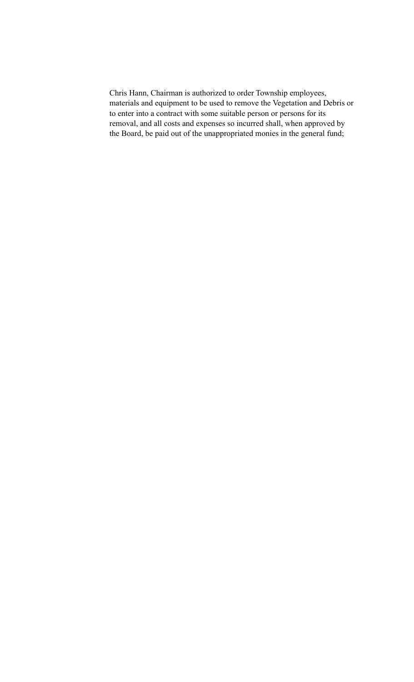Chris Hann, Chairman is authorized to order Township employees, materials and equipment to be used to remove the Vegetation and Debris or to enter into a contract with some suitable person or persons for its removal, and all costs and expenses so incurred shall, when approved by the Board, be paid out of the unappropriated monies in the general fund;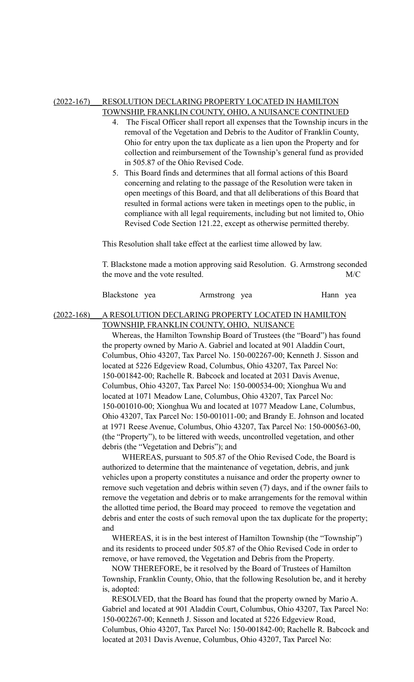#### (2022-167)\_\_\_RESOLUTION DECLARING PROPERTY LOCATED IN HAMILTON TOWNSHIP, FRANKLIN COUNTY, OHIO, A NUISANCE CONTINUED

- 4. The Fiscal Officer shall report all expenses that the Township incurs in the removal of the Vegetation and Debris to the Auditor of Franklin County, Ohio for entry upon the tax duplicate as a lien upon the Property and for collection and reimbursement of the Township's general fund as provided in 505.87 of the Ohio Revised Code.
- 5. This Board finds and determines that all formal actions of this Board concerning and relating to the passage of the Resolution were taken in open meetings of this Board, and that all deliberations of this Board that resulted in formal actions were taken in meetings open to the public, in compliance with all legal requirements, including but not limited to, Ohio Revised Code Section 121.22, except as otherwise permitted thereby.

This Resolution shall take effect at the earliest time allowed by law.

T. Blackstone made a motion approving said Resolution. G. Armstrong seconded the move and the vote resulted. M/C

| Blackstone yea | Armstrong yea | Hann yea |  |
|----------------|---------------|----------|--|
|----------------|---------------|----------|--|

## (2022-168)\_\_\_A RESOLUTION DECLARING PROPERTY LOCATED IN HAMILTON TOWNSHIP, FRANKLIN COUNTY, OHIO, NUISANCE

Whereas, the Hamilton Township Board of Trustees (the "Board") has found the property owned by Mario A. Gabriel and located at 901 Aladdin Court, Columbus, Ohio 43207, Tax Parcel No. 150-002267-00; Kenneth J. Sisson and located at 5226 Edgeview Road, Columbus, Ohio 43207, Tax Parcel No: 150-001842-00; Rachelle R. Babcock and located at 2031 Davis Avenue, Columbus, Ohio 43207, Tax Parcel No: 150-000534-00; Xionghua Wu and located at 1071 Meadow Lane, Columbus, Ohio 43207, Tax Parcel No: 150-001010-00; Xionghua Wu and located at 1077 Meadow Lane, Columbus, Ohio 43207, Tax Parcel No: 150-001011-00; and Brandy E. Johnson and located at 1971 Reese Avenue, Columbus, Ohio 43207, Tax Parcel No: 150-000563-00, (the "Property"), to be littered with weeds, uncontrolled vegetation, and other debris (the "Vegetation and Debris"); and

 WHEREAS, pursuant to 505.87 of the Ohio Revised Code, the Board is authorized to determine that the maintenance of vegetation, debris, and junk vehicles upon a property constitutes a nuisance and order the property owner to remove such vegetation and debris within seven (7) days, and if the owner fails to remove the vegetation and debris or to make arrangements for the removal within the allotted time period, the Board may proceed to remove the vegetation and debris and enter the costs of such removal upon the tax duplicate for the property; and

WHEREAS, it is in the best interest of Hamilton Township (the "Township") and its residents to proceed under 505.87 of the Ohio Revised Code in order to remove, or have removed, the Vegetation and Debris from the Property.

NOW THEREFORE, be it resolved by the Board of Trustees of Hamilton Township, Franklin County, Ohio, that the following Resolution be, and it hereby is, adopted:

RESOLVED, that the Board has found that the property owned by Mario A. Gabriel and located at 901 Aladdin Court, Columbus, Ohio 43207, Tax Parcel No: 150-002267-00; Kenneth J. Sisson and located at 5226 Edgeview Road, Columbus, Ohio 43207, Tax Parcel No: 150-001842-00; Rachelle R. Babcock and located at 2031 Davis Avenue, Columbus, Ohio 43207, Tax Parcel No: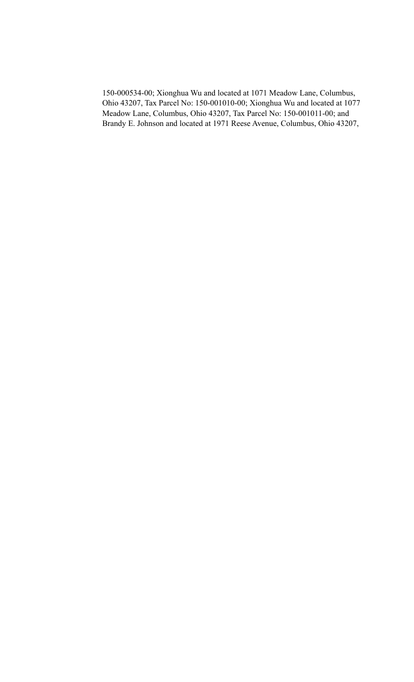150-000534-00; Xionghua Wu and located at 1071 Meadow Lane, Columbus, Ohio 43207, Tax Parcel No: 150-001010-00; Xionghua Wu and located at 1077 Meadow Lane, Columbus, Ohio 43207, Tax Parcel No: 150-001011-00; and Brandy E. Johnson and located at 1971 Reese Avenue, Columbus, Ohio 43207,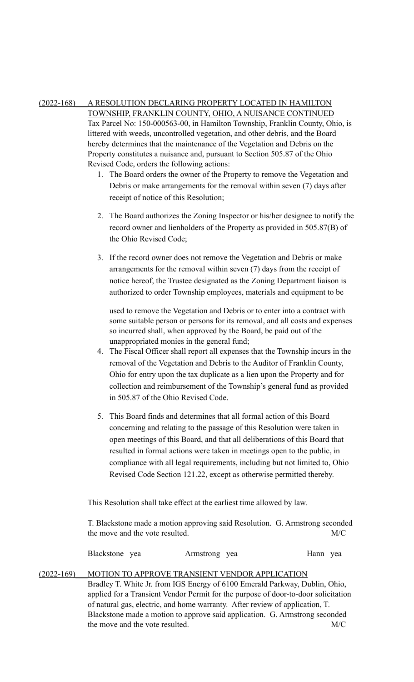# (2022-168)\_\_\_A RESOLUTION DECLARING PROPERTY LOCATED IN HAMILTON

TOWNSHIP, FRANKLIN COUNTY, OHIO, A NUISANCE CONTINUED Tax Parcel No: 150-000563-00, in Hamilton Township, Franklin County, Ohio, is littered with weeds, uncontrolled vegetation, and other debris, and the Board hereby determines that the maintenance of the Vegetation and Debris on the Property constitutes a nuisance and, pursuant to Section 505.87 of the Ohio Revised Code, orders the following actions:

- 1. The Board orders the owner of the Property to remove the Vegetation and Debris or make arrangements for the removal within seven (7) days after receipt of notice of this Resolution;
- 2. The Board authorizes the Zoning Inspector or his/her designee to notify the record owner and lienholders of the Property as provided in 505.87(B) of the Ohio Revised Code;
- 3. If the record owner does not remove the Vegetation and Debris or make arrangements for the removal within seven (7) days from the receipt of notice hereof, the Trustee designated as the Zoning Department liaison is authorized to order Township employees, materials and equipment to be

used to remove the Vegetation and Debris or to enter into a contract with some suitable person or persons for its removal, and all costs and expenses so incurred shall, when approved by the Board, be paid out of the unappropriated monies in the general fund;

- 4. The Fiscal Officer shall report all expenses that the Township incurs in the removal of the Vegetation and Debris to the Auditor of Franklin County, Ohio for entry upon the tax duplicate as a lien upon the Property and for collection and reimbursement of the Township's general fund as provided in 505.87 of the Ohio Revised Code.
- 5. This Board finds and determines that all formal action of this Board concerning and relating to the passage of this Resolution were taken in open meetings of this Board, and that all deliberations of this Board that resulted in formal actions were taken in meetings open to the public, in compliance with all legal requirements, including but not limited to, Ohio Revised Code Section 121.22, except as otherwise permitted thereby.

This Resolution shall take effect at the earliest time allowed by law.

T. Blackstone made a motion approving said Resolution. G. Armstrong seconded the move and the vote resulted. M/C

| Blackstone yea | Armstrong yea | Hann yea |  |
|----------------|---------------|----------|--|

# (2022-169) MOTION TO APPROVE TRANSIENT VENDOR APPLICATION

Bradley T. White Jr. from IGS Energy of 6100 Emerald Parkway, Dublin, Ohio, applied for a Transient Vendor Permit for the purpose of door-to-door solicitation of natural gas, electric, and home warranty. After review of application, T. Blackstone made a motion to approve said application. G. Armstrong seconded the move and the vote resulted. M/C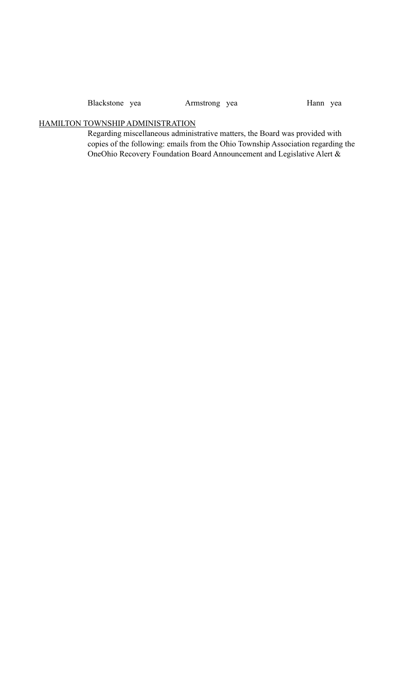Blackstone yea Armstrong yea Hann yea

## HAMILTON TOWNSHIP ADMINISTRATION

Regarding miscellaneous administrative matters, the Board was provided with copies of the following: emails from the Ohio Township Association regarding the OneOhio Recovery Foundation Board Announcement and Legislative Alert &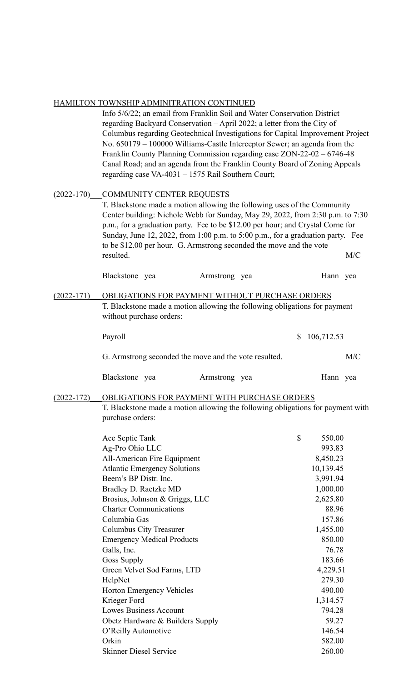# HAMILTON TOWNSHIP ADMINITRATION CONTINUED

|                | TO WINDIHI TEDIWILNI IN MTOTY CONTINUED                                         |               |  |    |            |     |  |  |  |
|----------------|---------------------------------------------------------------------------------|---------------|--|----|------------|-----|--|--|--|
|                | Info 5/6/22; an email from Franklin Soil and Water Conservation District        |               |  |    |            |     |  |  |  |
|                | regarding Backyard Conservation - April 2022; a letter from the City of         |               |  |    |            |     |  |  |  |
|                | Columbus regarding Geotechnical Investigations for Capital Improvement Project  |               |  |    |            |     |  |  |  |
|                | No. 650179 - 100000 Williams-Castle Interceptor Sewer; an agenda from the       |               |  |    |            |     |  |  |  |
|                | Franklin County Planning Commission regarding case ZON-22-02 - 6746-48          |               |  |    |            |     |  |  |  |
|                | Canal Road; and an agenda from the Franklin County Board of Zoning Appeals      |               |  |    |            |     |  |  |  |
|                | regarding case VA-4031 - 1575 Rail Southern Court;                              |               |  |    |            |     |  |  |  |
| $(2022 - 170)$ | <b>COMMUNITY CENTER REQUESTS</b>                                                |               |  |    |            |     |  |  |  |
|                | T. Blackstone made a motion allowing the following uses of the Community        |               |  |    |            |     |  |  |  |
|                | Center building: Nichole Webb for Sunday, May 29, 2022, from 2:30 p.m. to 7:30  |               |  |    |            |     |  |  |  |
|                | p.m., for a graduation party. Fee to be \$12.00 per hour; and Crystal Corne for |               |  |    |            |     |  |  |  |
|                | Sunday, June 12, 2022, from 1:00 p.m. to 5:00 p.m., for a graduation party. Fee |               |  |    |            |     |  |  |  |
|                | to be \$12.00 per hour. G. Armstrong seconded the move and the vote             |               |  |    |            |     |  |  |  |
|                | resulted.                                                                       |               |  |    |            | M/C |  |  |  |
|                |                                                                                 |               |  |    |            |     |  |  |  |
|                | Blackstone yea                                                                  | Armstrong yea |  |    | Hann yea   |     |  |  |  |
| $(2022 - 171)$ | OBLIGATIONS FOR PAYMENT WITHOUT PURCHASE ORDERS                                 |               |  |    |            |     |  |  |  |
|                | T. Blackstone made a motion allowing the following obligations for payment      |               |  |    |            |     |  |  |  |
|                | without purchase orders:                                                        |               |  |    |            |     |  |  |  |
|                |                                                                                 |               |  |    |            |     |  |  |  |
|                | Payroll                                                                         |               |  | \$ | 106,712.53 |     |  |  |  |
|                | G. Armstrong seconded the move and the vote resulted.                           |               |  |    |            | M/C |  |  |  |
|                |                                                                                 |               |  |    |            |     |  |  |  |
|                | Blackstone yea                                                                  | Armstrong yea |  |    | Hann yea   |     |  |  |  |
| $(2022 - 172)$ | OBLIGATIONS FOR PAYMENT WITH PURCHASE ORDERS                                    |               |  |    |            |     |  |  |  |
|                | T. Blackstone made a motion allowing the following obligations for payment with |               |  |    |            |     |  |  |  |
|                | purchase orders:                                                                |               |  |    |            |     |  |  |  |
|                |                                                                                 |               |  |    |            |     |  |  |  |
|                | Ace Septic Tank                                                                 |               |  | \$ | 550.00     |     |  |  |  |
|                | Ag-Pro Ohio LLC                                                                 |               |  |    | 993.83     |     |  |  |  |
|                | All-American Fire Equipment                                                     |               |  |    | 8,450.23   |     |  |  |  |
|                | <b>Atlantic Emergency Solutions</b>                                             |               |  |    | 10,139.45  |     |  |  |  |
|                | Beem's BP Distr. Inc.                                                           |               |  |    | 3,991.94   |     |  |  |  |
|                | Bradley D. Raetzke MD                                                           |               |  |    | 1,000.00   |     |  |  |  |
|                |                                                                                 |               |  |    |            |     |  |  |  |

| <b>Atlantic Emergency Solutions</b> | 10,139.45 |
|-------------------------------------|-----------|
| Beem's BP Distr. Inc.               | 3,991.94  |
| Bradley D. Raetzke MD               | 1,000.00  |
| Brosius, Johnson & Griggs, LLC      | 2,625.80  |
| <b>Charter Communications</b>       | 88.96     |
| Columbia Gas                        | 157.86    |
| Columbus City Treasurer             | 1,455.00  |
| <b>Emergency Medical Products</b>   | 850.00    |
| Galls, Inc.                         | 76.78     |
| <b>Goss Supply</b>                  | 183.66    |
| Green Velvet Sod Farms, LTD         | 4,229.51  |
| HelpNet                             | 279.30    |
| Horton Emergency Vehicles           | 490.00    |
| Krieger Ford                        | 1,314.57  |
| <b>Lowes Business Account</b>       | 794.28    |
| Obetz Hardware & Builders Supply    | 59.27     |
| O'Reilly Automotive                 | 146.54    |
| Orkin                               | 582.00    |
| <b>Skinner Diesel Service</b>       | 260.00    |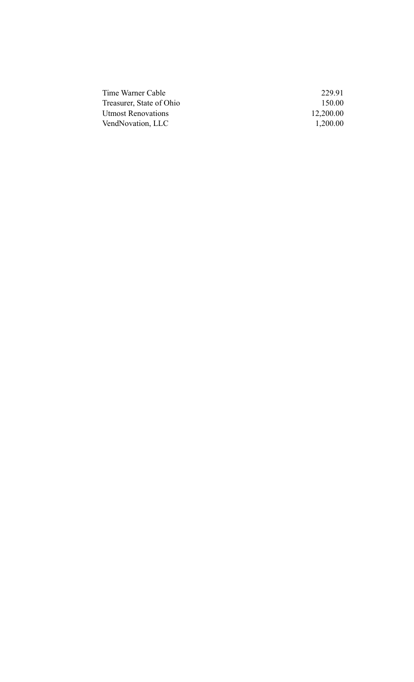| 229.91    |
|-----------|
| 150.00    |
| 12,200.00 |
| 1,200.00  |
|           |